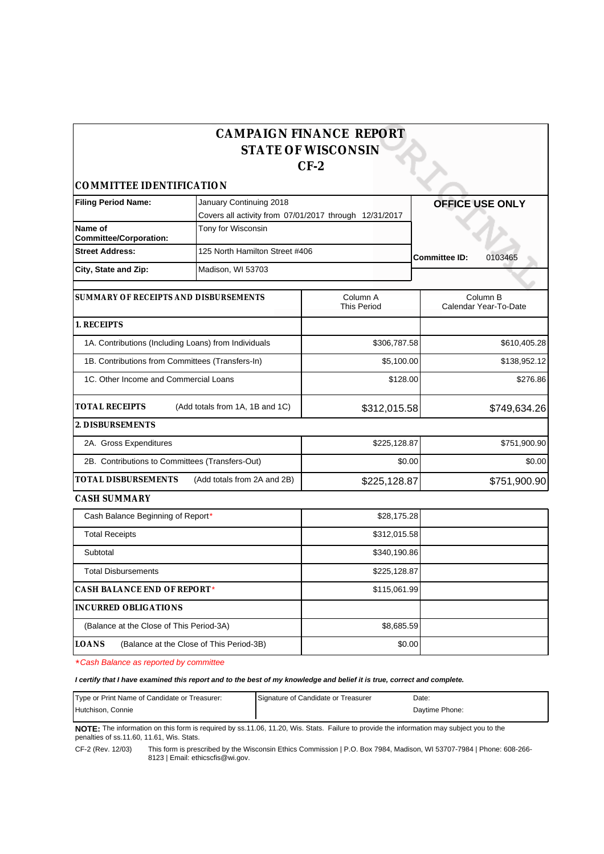## **CAMPAIGN FINANCE REPORT STATE OF WISCONSIN CF-2**

*COMMITTEE IDENTIFICATION*

| <b>Filing Period Name:</b>                           | January Continuing 2018                                |                                | <b>OFFICE USE ONLY</b>            |
|------------------------------------------------------|--------------------------------------------------------|--------------------------------|-----------------------------------|
|                                                      | Covers all activity from 07/01/2017 through 12/31/2017 |                                |                                   |
| Name of<br><b>Committee/Corporation:</b>             | Tony for Wisconsin                                     |                                |                                   |
| <b>Street Address:</b>                               | 125 North Hamilton Street #406                         |                                | <b>Committee ID:</b><br>0103465   |
| City, State and Zip:                                 | Madison, WI 53703                                      |                                |                                   |
| SUMMARY OF RECEIPTS AND DISBURSEMENTS                |                                                        | Column A<br><b>This Period</b> | Column B<br>Calendar Year-To-Date |
| 1. RECEIPTS                                          |                                                        |                                |                                   |
| 1A. Contributions (Including Loans) from Individuals |                                                        | \$306,787.58                   | \$610,405.28                      |
| 1B. Contributions from Committees (Transfers-In)     |                                                        | \$5,100.00                     | \$138,952.12                      |
| 1C. Other Income and Commercial Loans                |                                                        | \$128.00                       | \$276.86                          |
| <b>TOTAL RECEIPTS</b>                                | (Add totals from 1A, 1B and 1C)                        | \$312,015.58                   | \$749,634.26                      |
| 2. DISBURSEMENTS                                     |                                                        |                                |                                   |
| 2A. Gross Expenditures                               |                                                        | \$225,128.87                   | \$751,900.90                      |
| 2B. Contributions to Committees (Transfers-Out)      |                                                        | \$0.00                         | \$0.00                            |
| TOTAL DISBURSEMENTS<br>(Add totals from 2A and 2B)   |                                                        | \$225,128.87                   | \$751,900.90                      |
| CASH SUMMARY                                         |                                                        |                                |                                   |
| Cash Balance Beginning of Report*                    |                                                        | \$28,175.28                    |                                   |
| エント・レロー・シー しょうし                                      |                                                        | 0.40.015.50                    |                                   |

| badii Baidhoo Bogirii iirig or rtoport                   | <b>PLOITIVILU</b> |  |
|----------------------------------------------------------|-------------------|--|
| <b>Total Receipts</b>                                    | \$312,015.58      |  |
| Subtotal                                                 | \$340,190.86      |  |
| <b>Total Disbursements</b>                               | \$225,128.87      |  |
| CASH BALANCE END OF REPORT*                              | \$115,061.99      |  |
| INCURRED OBLIGATIONS                                     |                   |  |
| (Balance at the Close of This Period-3A)                 | \$8,685.59        |  |
| <b>LOANS</b><br>(Balance at the Close of This Period-3B) | \$0.00            |  |

\*Cash Balance as reported by committee

## **I certify that I have examined this report and to the best of my knowledge and belief it is true, correct and complete.**

| Type or Print Name of Candidate or Treasurer: | Signature of Candidate or Treasurer | Date:          |
|-----------------------------------------------|-------------------------------------|----------------|
| Hutchison. Connie                             |                                     | Davtime Phone: |

**NOTE:** The information on this form is required by ss.11.06, 11.20, Wis. Stats. Failure to provide the information may subject you to the penalties of ss.11.60, 11.61, Wis. Stats.

CF-2 (Rev. 12/03) This form is prescribed by the Wisconsin Ethics Commission | P.O. Box 7984, Madison, WI 53707-7984 | Phone: 608-266- 8123 | Email: ethicscfis@wi.gov.